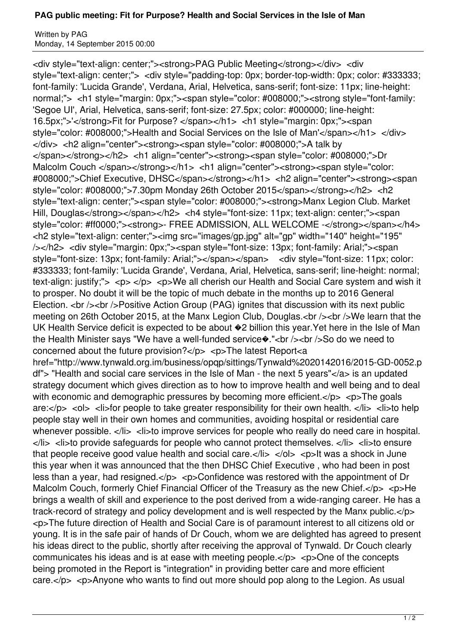## **PAG public meeting: Fit for Purpose? Health and Social Services in the Isle of Man**

Written by PAG Monday, 14 September 2015 00:00

<div style="text-align: center;"><strong>PAG Public Meeting</strong></div> <div style="text-align: center;"> <div style="padding-top: 0px; border-top-width: 0px; color: #333333; font-family: 'Lucida Grande', Verdana, Arial, Helvetica, sans-serif; font-size: 11px; line-height: normal;"> <h1 style="margin: 0px;"><span style="color: #008000;"><strong style="font-family: 'Segoe UI', Arial, Helvetica, sans-serif; font-size: 27.5px; color: #000000; line-height: 16.5px;">'</strong>Fit for Purpose? </span></h1> <h1 style="margin: 0px;"><span style="color: #008000;">Health and Social Services on the Isle of Man'</span></h1> </div> </div> <h2 align="center"><strong><span style="color: #008000;">A talk by </span></strong></h2> <h1 align="center"><strong><span style="color: #008000;">Dr Malcolm Couch </span></strong></h1> <h1 align="center">>strong><span style="color: #008000;">Chief Executive, DHSC</span></strong></h1> <h2 align="center"><strong><span style="color: #008000;">7.30pm Monday 26th October 2015</span></strong></h2> <h2 style="text-align: center;"><span style="color: #008000;"><strong>Manx Legion Club. Market Hill, Douglas</strong></span></h2> <h4 style="font-size: 11px; text-align: center;"><span style="color: #ff0000;"><strong>- FREE ADMISSION, ALL WELCOME -</strong></span></h4> <h2 style="text-align: center;"><img src="images/gp.jpg" alt="gp" width="140" height="195" /></h2> <div style="margin: 0px;"><span style="font-size: 13px; font-family: Arial;"><span style="font-size: 13px; font-family: Arial;"></span></span> <div style="font-size: 11px; color: #333333; font-family: 'Lucida Grande', Verdana, Arial, Helvetica, sans-serif; line-height: normal; text-align: justify;"> <p> </p> <p> We all cherish our Health and Social Care system and wish it to prosper. No doubt it will be the topic of much debate in the months up to 2016 General Election. <br />> /> Positive Action Group (PAG) ignites that discussion with its next public meeting on 26th October 2015, at the Manx Legion Club, Douglas.<br />>>>>><br />>>>>We learn that the UK Health Service deficit is expected to be about  $*2$  billion this year. Yet here in the Isle of Man the Health Minister says "We have a well-funded service $\cdot$ ."<br />>>>>>> of />So do we need to concerned about the future provision? $<$ /p $>$  <p>The latest Report<a href="http://www.tynwald.org.im/business/opqp/sittings/Tynwald%2020142016/2015-GD-0052.p df"> "Health and social care services in the Isle of Man - the next 5 years"</a> is an updated strategy document which gives direction as to how to improve health and well being and to deal with economic and demographic pressures by becoming more efficient. $\langle p \rangle$   $\langle p \rangle$ The goals are:</p> <ol> <li>for people to take greater responsibility for their own health. </li> <li>to help people stay well in their own homes and communities, avoiding hospital or residential care whenever possible. </li> <li>to improve services for people who really do need care in hospital.  $\langle$ li>  $\langle$ li>to provide safeguards for people who cannot protect themselves.  $\langle$ li>  $\langle$ li>to ensure that people receive good value health and social care. $\langle$ /i>  $\langle$ ol>  $\langle$ p>lt was a shock in June this year when it was announced that the then DHSC Chief Executive , who had been in post less than a year, had resigned. $\langle p \rangle$   $\langle p \rangle$  Confidence was restored with the appointment of Dr Malcolm Couch, formerly Chief Financial Officer of the Treasury as the new Chief.</p> <p>He brings a wealth of skill and experience to the post derived from a wide-ranging career. He has a track-record of strategy and policy development and is well respected by the Manx public.</p> <p>The future direction of Health and Social Care is of paramount interest to all citizens old or young. It is in the safe pair of hands of Dr Couch, whom we are delighted has agreed to present his ideas direct to the public, shortly after receiving the approval of Tynwald. Dr Couch clearly communicates his ideas and is at ease with meeting people. $\langle$ /p>  $\langle$ p> $\rangle$ One of the concepts being promoted in the Report is "integration" in providing better care and more efficient care. $\langle p \rangle$   $\langle p \rangle$   $\langle p \rangle$  Anyone who wants to find out more should pop along to the Legion. As usual